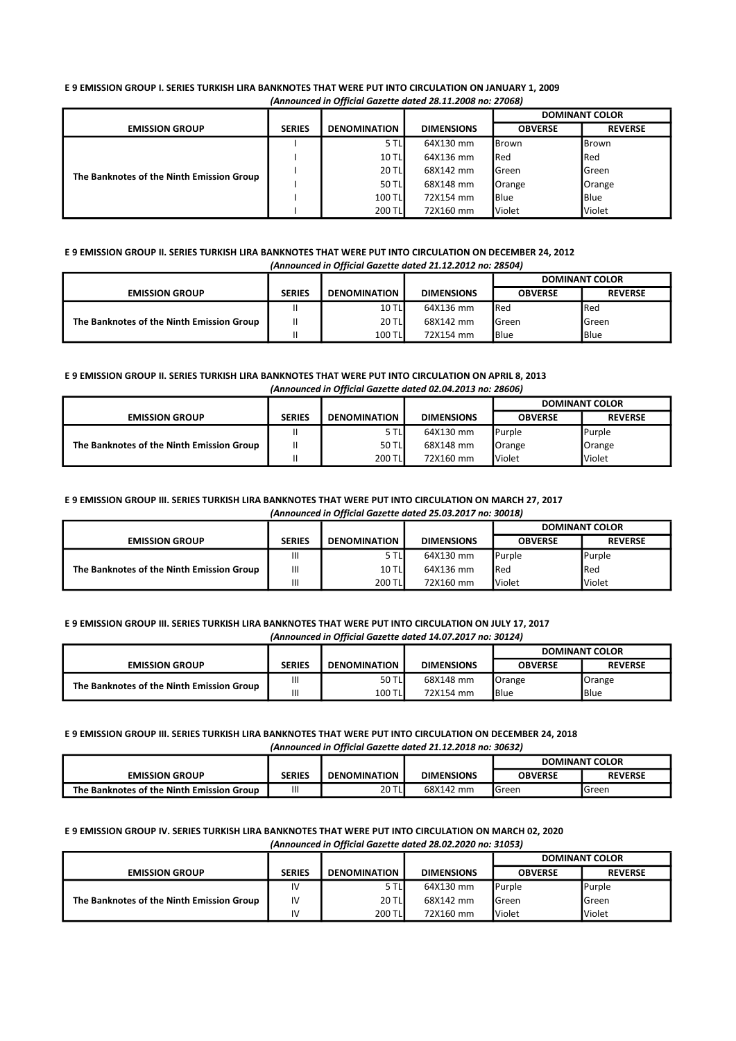(Announced in Official Gazette dated 28.11.2008 no: 27068) E 9 EMISSION GROUP I. SERIES TURKISH LIRA BANKNOTES THAT WERE PUT INTO CIRCULATION ON JANUARY 1, 2009

|                                           |               |                     |                   | <b>DOMINANT COLOR</b> |                |
|-------------------------------------------|---------------|---------------------|-------------------|-----------------------|----------------|
| <b>EMISSION GROUP</b>                     | <b>SERIES</b> | <b>DENOMINATION</b> | <b>DIMENSIONS</b> | <b>OBVERSE</b>        | <b>REVERSE</b> |
| The Banknotes of the Ninth Emission Group |               | 5 TLI               | 64X130 mm         | <b>Brown</b>          | Brown          |
|                                           |               | <b>10 TLI</b>       | 64X136 mm         | <b>Red</b>            | Red            |
|                                           |               | <b>20 TL</b>        | 68X142 mm         | <b>I</b> Green        | Green          |
|                                           |               | 50 TL               | 68X148 mm         | Orange                | Orange         |
|                                           |               | 100 TL              | 72X154 mm         | <b>Blue</b>           | <b>Blue</b>    |
|                                           |               | 200 TL              | 72X160 mm         | <b>Violet</b>         | Violet         |

#### (Announced in Official Gazette dated 21.12.2012 no: 28504) E 9 EMISSION GROUP II. SERIES TURKISH LIRA BANKNOTES THAT WERE PUT INTO CIRCULATION ON DECEMBER 24, 2012

|                                           |               |                     |                   | <b>DOMINANT COLOR</b> |                |
|-------------------------------------------|---------------|---------------------|-------------------|-----------------------|----------------|
| <b>EMISSION GROUP</b>                     | <b>SERIES</b> | <b>DENOMINATION</b> | <b>DIMENSIONS</b> | <b>OBVERSE</b>        | <b>REVERSE</b> |
| The Banknotes of the Ninth Emission Group |               | <b>10 TLI</b>       | 64X136 mm         | <b>I</b> Red          | Red            |
|                                           |               | <b>20 TL</b>        | 68X142 mm         | <b>I</b> Green        | Green          |
|                                           |               | 100 TL              | 72X154 mm         | <b>Blue</b>           | <b>Blue</b>    |

#### (Announced in Official Gazette dated 02.04.2013 no: 28606) E 9 EMISSION GROUP II. SERIES TURKISH LIRA BANKNOTES THAT WERE PUT INTO CIRCULATION ON APRIL 8, 2013

|                                           |               |                     |                   | <b>DOMINANT COLOR</b> |                |
|-------------------------------------------|---------------|---------------------|-------------------|-----------------------|----------------|
| <b>EMISSION GROUP</b>                     | <b>SERIES</b> | <b>DENOMINATION</b> | <b>DIMENSIONS</b> | <b>OBVERSE</b>        | <b>REVERSE</b> |
| The Banknotes of the Ninth Emission Group |               | 5 TLI               | 64X130 mm         | <b>I</b> Purple       | Purple         |
|                                           | Ш             | 50 TL               | 68X148 mm         | Orange                | Orange         |
|                                           |               | 200 TL              | 72X160 mm         | <b>Violet</b>         | Violet         |

#### (Announced in Official Gazette dated 25.03.2017 no: 30018) E 9 EMISSION GROUP III. SERIES TURKISH LIRA BANKNOTES THAT WERE PUT INTO CIRCULATION ON MARCH 27, 2017

| <u>AMNOUNCEU IN ONNEIG GULE UUTEU 23.03.2017 NO. 300107</u> |                |                     |                   |                       |                |  |  |
|-------------------------------------------------------------|----------------|---------------------|-------------------|-----------------------|----------------|--|--|
|                                                             |                |                     |                   | <b>DOMINANT COLOR</b> |                |  |  |
| <b>EMISSION GROUP</b>                                       | <b>SERIES</b>  | <b>DENOMINATION</b> | <b>DIMENSIONS</b> | <b>OBVERSE</b>        | <b>REVERSE</b> |  |  |
| The Banknotes of the Ninth Emission Group                   | $\mathsf{III}$ | 5 TLI               | 64X130 mm         | <b>I</b> Purple       | Purple         |  |  |
|                                                             | $\mathsf{III}$ | <b>10 TLI</b>       | 64X136 mm         | <b>I</b> Red          | <b>I</b> Red   |  |  |
|                                                             | Ш              | 200 TL              | 72X160 mm         | <b>I</b> Violet       | Violet         |  |  |

#### (Announced in Official Gazette dated 14.07.2017 no: 30124) E 9 EMISSION GROUP III. SERIES TURKISH LIRA BANKNOTES THAT WERE PUT INTO CIRCULATION ON JULY 17, 2017

|                                           |               |                     |                   | <b>DOMINANT COLOR</b> |                |
|-------------------------------------------|---------------|---------------------|-------------------|-----------------------|----------------|
| <b>EMISSION GROUP</b>                     | <b>SERIES</b> | <b>DENOMINATION</b> | <b>DIMENSIONS</b> | <b>OBVERSE</b>        | <b>REVERSE</b> |
| The Banknotes of the Ninth Emission Group | Ш             | 50 TL               | 68X148 mm         | Orange                | Orange         |
|                                           | Ш             | 100 TL              | 72X154 mm         | <b>Blue</b>           | <b>Blue</b>    |

## (Announced in Official Gazette dated 21.12.2018 no: 30632) E 9 EMISSION GROUP III. SERIES TURKISH LIRA BANKNOTES THAT WERE PUT INTO CIRCULATION ON DECEMBER 24, 2018

|                                           |        |                     |                   | <b>DOMINANT COLOR</b> |                |
|-------------------------------------------|--------|---------------------|-------------------|-----------------------|----------------|
| <b>EMISSION GROUP</b>                     | SERIES | <b>DENOMINATION</b> | <b>DIMENSIONS</b> | <b>OBVERSE</b>        | <b>REVERSE</b> |
| The Banknotes of the Ninth Emission Group | Ш      | 20 TL               | 68X142 mm         | <b>I</b> Green        | <b>I</b> Green |

#### (Announced in Official Gazette dated 28.02.2020 no: 31053) E 9 EMISSION GROUP IV. SERIES TURKISH LIRA BANKNOTES THAT WERE PUT INTO CIRCULATION ON MARCH 02, 2020

|                                           |               |                     |                   | <b>DOMINANT COLOR</b> |                |
|-------------------------------------------|---------------|---------------------|-------------------|-----------------------|----------------|
| <b>EMISSION GROUP</b>                     | <b>SERIES</b> | <b>DENOMINATION</b> | <b>DIMENSIONS</b> | <b>OBVERSE</b>        | <b>REVERSE</b> |
| The Banknotes of the Ninth Emission Group | IV            | 5 TLI               | 64X130 mm         | Purple                | Purple         |
|                                           | IV            | <b>20 TL</b>        | 68X142 mm         | <b>I</b> Green        | Green          |
|                                           | IV            | 200 TL              | 72X160 mm         | <b>I</b> Violet       | Violet         |